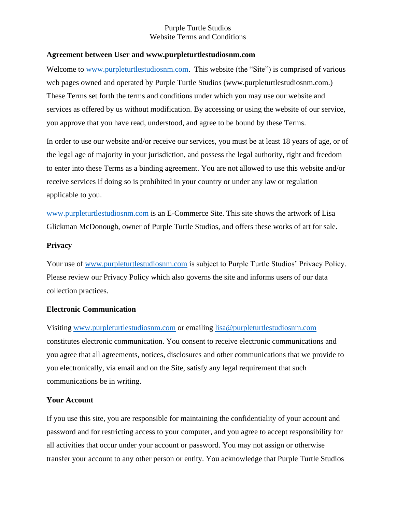### **Agreement between User and www.purpleturtlestudiosnm.com**

Welcome to [www.purpleturtlestudiosnm.com.](http://www.purpleturtlestudiosnm.com/) This website (the "Site") is comprised of various web pages owned and operated by Purple Turtle Studios (www.purpleturtlestudiosnm.com.) These Terms set forth the terms and conditions under which you may use our website and services as offered by us without modification. By accessing or using the website of our service, you approve that you have read, understood, and agree to be bound by these Terms.

In order to use our website and/or receive our services, you must be at least 18 years of age, or of the legal age of majority in your jurisdiction, and possess the legal authority, right and freedom to enter into these Terms as a binding agreement. You are not allowed to use this website and/or receive services if doing so is prohibited in your country or under any law or regulation applicable to you.

[www.purpleturtlestudiosnm.com](http://www.purpleturtlestudiosnm.com/) is an E-Commerce Site. This site shows the artwork of Lisa Glickman McDonough, owner of Purple Turtle Studios, and offers these works of art for sale.

### **Privacy**

Your use of [www.purpleturtlestudiosnm.com](http://www.purpleturtlestudiosnm.com/) is subject to Purple Turtle Studios' Privacy Policy. Please review our Privacy Policy which also governs the site and informs users of our data collection practices.

### **Electronic Communication**

Visiting [www.purpleturtlestudiosnm.com](http://www.purpleturtlestudiosnm.com/) or emailing [lisa@purpleturtlestudiosnm.com](file:///C:/Users/Eve) constitutes electronic communication. You consent to receive electronic communications and you agree that all agreements, notices, disclosures and other communications that we provide to you electronically, via email and on the Site, satisfy any legal requirement that such communications be in writing.

### **Your Account**

If you use this site, you are responsible for maintaining the confidentiality of your account and password and for restricting access to your computer, and you agree to accept responsibility for all activities that occur under your account or password. You may not assign or otherwise transfer your account to any other person or entity. You acknowledge that Purple Turtle Studios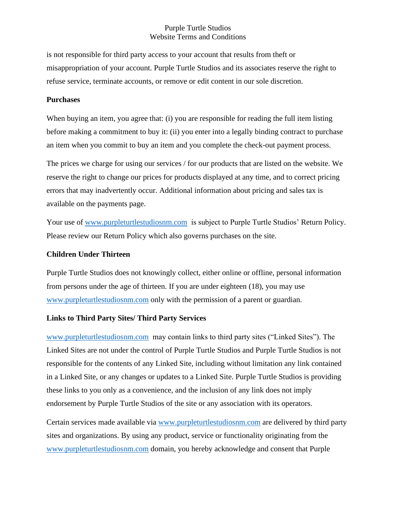is not responsible for third party access to your account that results from theft or misappropriation of your account. Purple Turtle Studios and its associates reserve the right to refuse service, terminate accounts, or remove or edit content in our sole discretion.

### **Purchases**

When buying an item, you agree that: (i) you are responsible for reading the full item listing before making a commitment to buy it: (ii) you enter into a legally binding contract to purchase an item when you commit to buy an item and you complete the check-out payment process.

The prices we charge for using our services / for our products that are listed on the website. We reserve the right to change our prices for products displayed at any time, and to correct pricing errors that may inadvertently occur. Additional information about pricing and sales tax is available on the payments page.

Your use of [www.purpleturtlestudiosnm.com](http://www.purpleturtlestudiosnm.com/) is subject to Purple Turtle Studios' Return Policy. Please review our Return Policy which also governs purchases on the site.

### **Children Under Thirteen**

Purple Turtle Studios does not knowingly collect, either online or offline, personal information from persons under the age of thirteen. If you are under eighteen (18), you may use [www.purpleturtlestudiosnm.com](http://www.purpleturtlestudiosnm.com/) only with the permission of a parent or guardian.

### **Links to Third Party Sites/ Third Party Services**

[www.purpleturtlestudiosnm.com](http://www.purpleturtlestudiosnm.com/) may contain links to third party sites ("Linked Sites"). The Linked Sites are not under the control of Purple Turtle Studios and Purple Turtle Studios is not responsible for the contents of any Linked Site, including without limitation any link contained in a Linked Site, or any changes or updates to a Linked Site. Purple Turtle Studios is providing these links to you only as a convenience, and the inclusion of any link does not imply endorsement by Purple Turtle Studios of the site or any association with its operators.

Certain services made available via [www.purpleturtlestudiosnm.com](http://www.purpleturtlestudiosnm.com/) are delivered by third party sites and organizations. By using any product, service or functionality originating from the [www.purpleturtlestudiosnm.com](http://www.purpleturtlestudiosnm.com/) domain, you hereby acknowledge and consent that Purple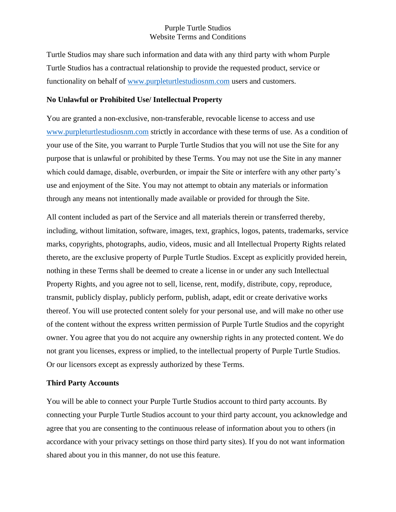Turtle Studios may share such information and data with any third party with whom Purple Turtle Studios has a contractual relationship to provide the requested product, service or functionality on behalf of [www.purpleturtlestudiosnm.com](http://www.purpleturtlestudiosnm.com/) users and customers.

### **No Unlawful or Prohibited Use/ Intellectual Property**

You are granted a non-exclusive, non-transferable, revocable license to access and use [www.purpleturtlestudiosnm.com](http://www.purpleturtlestudiosnm.com/) strictly in accordance with these terms of use. As a condition of your use of the Site, you warrant to Purple Turtle Studios that you will not use the Site for any purpose that is unlawful or prohibited by these Terms. You may not use the Site in any manner which could damage, disable, overburden, or impair the Site or interfere with any other party's use and enjoyment of the Site. You may not attempt to obtain any materials or information through any means not intentionally made available or provided for through the Site.

All content included as part of the Service and all materials therein or transferred thereby, including, without limitation, software, images, text, graphics, logos, patents, trademarks, service marks, copyrights, photographs, audio, videos, music and all Intellectual Property Rights related thereto, are the exclusive property of Purple Turtle Studios. Except as explicitly provided herein, nothing in these Terms shall be deemed to create a license in or under any such Intellectual Property Rights, and you agree not to sell, license, rent, modify, distribute, copy, reproduce, transmit, publicly display, publicly perform, publish, adapt, edit or create derivative works thereof. You will use protected content solely for your personal use, and will make no other use of the content without the express written permission of Purple Turtle Studios and the copyright owner. You agree that you do not acquire any ownership rights in any protected content. We do not grant you licenses, express or implied, to the intellectual property of Purple Turtle Studios. Or our licensors except as expressly authorized by these Terms.

# **Third Party Accounts**

You will be able to connect your Purple Turtle Studios account to third party accounts. By connecting your Purple Turtle Studios account to your third party account, you acknowledge and agree that you are consenting to the continuous release of information about you to others (in accordance with your privacy settings on those third party sites). If you do not want information shared about you in this manner, do not use this feature.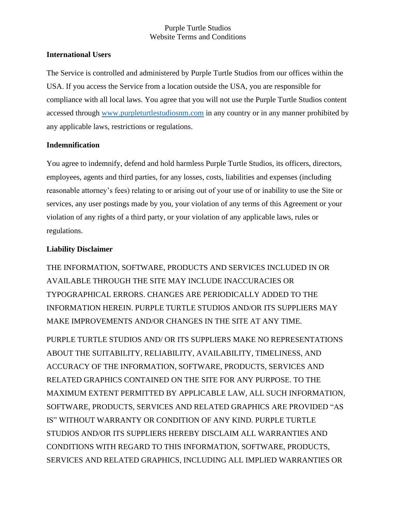### **International Users**

The Service is controlled and administered by Purple Turtle Studios from our offices within the USA. If you access the Service from a location outside the USA, you are responsible for compliance with all local laws. You agree that you will not use the Purple Turtle Studios content accessed through [www.purpleturtlestudiosnm.com](http://www.purpleturtlestudiosnm.com/) in any country or in any manner prohibited by any applicable laws, restrictions or regulations.

### **Indemnification**

You agree to indemnify, defend and hold harmless Purple Turtle Studios, its officers, directors, employees, agents and third parties, for any losses, costs, liabilities and expenses (including reasonable attorney's fees) relating to or arising out of your use of or inability to use the Site or services, any user postings made by you, your violation of any terms of this Agreement or your violation of any rights of a third party, or your violation of any applicable laws, rules or regulations.

# **Liability Disclaimer**

THE INFORMATION, SOFTWARE, PRODUCTS AND SERVICES INCLUDED IN OR AVAILABLE THROUGH THE SITE MAY INCLUDE INACCURACIES OR TYPOGRAPHICAL ERRORS. CHANGES ARE PERIODICALLY ADDED TO THE INFORMATION HEREIN. PURPLE TURTLE STUDIOS AND/OR ITS SUPPLIERS MAY MAKE IMPROVEMENTS AND/OR CHANGES IN THE SITE AT ANY TIME.

PURPLE TURTLE STUDIOS AND/ OR ITS SUPPLIERS MAKE NO REPRESENTATIONS ABOUT THE SUITABILITY, RELIABILITY, AVAILABILITY, TIMELINESS, AND ACCURACY OF THE INFORMATION, SOFTWARE, PRODUCTS, SERVICES AND RELATED GRAPHICS CONTAINED ON THE SITE FOR ANY PURPOSE. TO THE MAXIMUM EXTENT PERMITTED BY APPLICABLE LAW, ALL SUCH INFORMATION, SOFTWARE, PRODUCTS, SERVICES AND RELATED GRAPHICS ARE PROVIDED "AS IS" WITHOUT WARRANTY OR CONDITION OF ANY KIND. PURPLE TURTLE STUDIOS AND/OR ITS SUPPLIERS HEREBY DISCLAIM ALL WARRANTIES AND CONDITIONS WITH REGARD TO THIS INFORMATION, SOFTWARE, PRODUCTS, SERVICES AND RELATED GRAPHICS, INCLUDING ALL IMPLIED WARRANTIES OR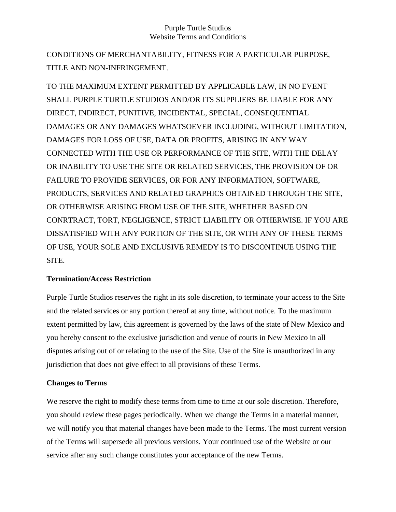CONDITIONS OF MERCHANTABILITY, FITNESS FOR A PARTICULAR PURPOSE, TITLE AND NON-INFRINGEMENT.

TO THE MAXIMUM EXTENT PERMITTED BY APPLICABLE LAW, IN NO EVENT SHALL PURPLE TURTLE STUDIOS AND/OR ITS SUPPLIERS BE LIABLE FOR ANY DIRECT, INDIRECT, PUNITIVE, INCIDENTAL, SPECIAL, CONSEQUENTIAL DAMAGES OR ANY DAMAGES WHATSOEVER INCLUDING, WITHOUT LIMITATION, DAMAGES FOR LOSS OF USE, DATA OR PROFITS, ARISING IN ANY WAY CONNECTED WITH THE USE OR PERFORMANCE OF THE SITE, WITH THE DELAY OR INABILITY TO USE THE SITE OR RELATED SERVICES, THE PROVISION OF OR FAILURE TO PROVIDE SERVICES, OR FOR ANY INFORMATION, SOFTWARE, PRODUCTS, SERVICES AND RELATED GRAPHICS OBTAINED THROUGH THE SITE, OR OTHERWISE ARISING FROM USE OF THE SITE, WHETHER BASED ON CONRTRACT, TORT, NEGLIGENCE, STRICT LIABILITY OR OTHERWISE. IF YOU ARE DISSATISFIED WITH ANY PORTION OF THE SITE, OR WITH ANY OF THESE TERMS OF USE, YOUR SOLE AND EXCLUSIVE REMEDY IS TO DISCONTINUE USING THE SITE.

# **Termination/Access Restriction**

Purple Turtle Studios reserves the right in its sole discretion, to terminate your access to the Site and the related services or any portion thereof at any time, without notice. To the maximum extent permitted by law, this agreement is governed by the laws of the state of New Mexico and you hereby consent to the exclusive jurisdiction and venue of courts in New Mexico in all disputes arising out of or relating to the use of the Site. Use of the Site is unauthorized in any jurisdiction that does not give effect to all provisions of these Terms.

# **Changes to Terms**

We reserve the right to modify these terms from time to time at our sole discretion. Therefore, you should review these pages periodically. When we change the Terms in a material manner, we will notify you that material changes have been made to the Terms. The most current version of the Terms will supersede all previous versions. Your continued use of the Website or our service after any such change constitutes your acceptance of the new Terms.